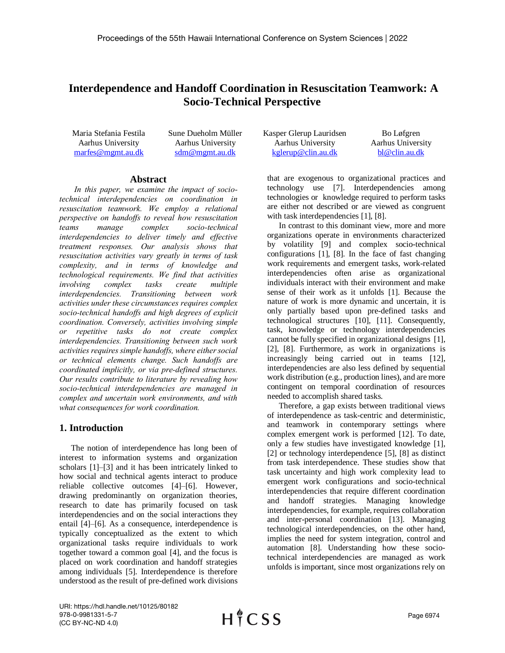# **Interdependence and Handoff Coordination in Resuscitation Teamwork: A Socio-Technical Perspective**

Maria Stefania Festila Aarhus University [marfes@mgmt.au.dk](mailto:marfes@mgmt.au.dk) 

Sune Dueholm Müller Aarhus University [sdm@mgmt.au.dk](mailto:sdm@mgmt.au.dk)

### **Abstract**

*In this paper, we examine the impact of sociotechnical interdependencies on coordination in resuscitation teamwork. We employ a relational perspective on handoffs to reveal how resuscitation teams manage complex socio-technical interdependencies to deliver timely and effective treatment responses. Our analysis shows that resuscitation activities vary greatly in terms of task complexity, and in terms of knowledge and technological requirements. We find that activities involving complex tasks create multiple interdependencies. Transitioning between work activities under these circumstances requires complex socio-technical handoffs and high degrees of explicit coordination. Conversely, activities involving simple or repetitive tasks do not create complex interdependencies. Transitioning between such work activities requires simple handoffs, where either social or technical elements change. Such handoffs are coordinated implicitly, or via pre-defined structures. Our results contribute to literature by revealing how socio-technical interdependencies are managed in complex and uncertain work environments, and with what consequences for work coordination.*

## **1. Introduction**

The notion of interdependence has long been of interest to information systems and organization scholars [1]–[3] and it has been intricately linked to how social and technical agents interact to produce reliable collective outcomes [4]–[6]. However, drawing predominantly on organization theories, research to date has primarily focused on task interdependencies and on the social interactions they entail [4]–[6]. As a consequence, interdependence is typically conceptualized as the extent to which organizational tasks require individuals to work together toward a common goal [4], and the focus is placed on work coordination and handoff strategies among individuals [5]. Interdependence is therefore understood as the result of pre-defined work divisions

Kasper Glerup Lauridsen Aarhus University [kglerup@clin.au.dk](mailto:kglerup@clin.au.dk) Bo Løfgren Aarhus University [bl@clin.au.dk](mailto:bl@clin.au.dk) 

that are exogenous to organizational practices and technology use [7]. Interdependencies among technologies or knowledge required to perform tasks are either not described or are viewed as congruent with task interdependencies [1], [8].

In contrast to this dominant view, more and more organizations operate in environments characterized by volatility [9] and complex socio-technical configurations [1], [8]. In the face of fast changing work requirements and emergent tasks, work-related interdependencies often arise as organizational individuals interact with their environment and make sense of their work as it unfolds [1]. Because the nature of work is more dynamic and uncertain, it is only partially based upon pre-defined tasks and technological structures [10], [11]. Consequently, task, knowledge or technology interdependencies cannot be fully specified in organizational designs [1], [2], [8]. Furthermore, as work in organizations is increasingly being carried out in teams [12], interdependencies are also less defined by sequential work distribution (e.g., production lines), and are more contingent on temporal coordination of resources needed to accomplish shared tasks.

Therefore, a gap exists between traditional views of interdependence as task-centric and deterministic, and teamwork in contemporary settings where complex emergent work is performed [12]. To date, only a few studies have investigated knowledge [1], [2] or technology interdependence [5], [8] as distinct from task interdependence. These studies show that task uncertainty and high work complexity lead to emergent work configurations and socio-technical interdependencies that require different coordination and handoff strategies. Managing knowledge interdependencies, for example, requires collaboration and inter-personal coordination [13]. Managing technological interdependencies, on the other hand, implies the need for system integration, control and automation [8]. Understanding how these sociotechnical interdependencies are managed as work unfolds is important, since most organizations rely on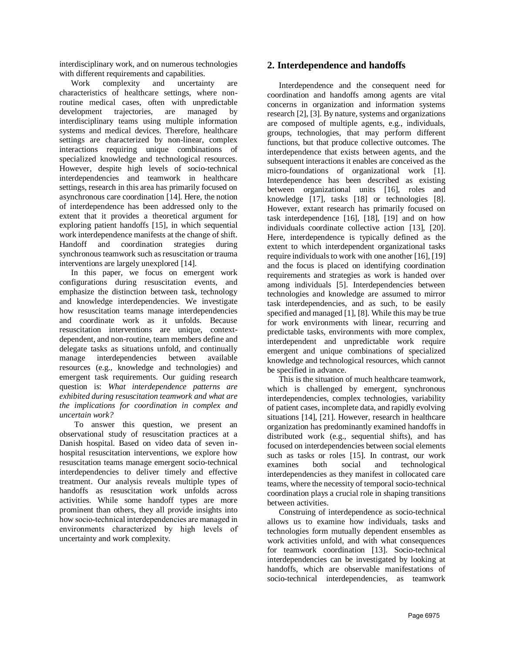interdisciplinary work, and on numerous technologies with different requirements and capabilities.

Work complexity and uncertainty are characteristics of healthcare settings, where nonroutine medical cases, often with unpredictable development trajectories, are managed by interdisciplinary teams using multiple information systems and medical devices. Therefore, healthcare settings are characterized by non-linear, complex interactions requiring unique combinations of specialized knowledge and technological resources. However, despite high levels of socio-technical interdependencies and teamwork in healthcare settings, research in this area has primarily focused on asynchronous care coordination [14]. Here, the notion of interdependence has been addressed only to the extent that it provides a theoretical argument for exploring patient handoffs [15], in which sequential work interdependence manifests at the change of shift. Handoff and coordination strategies during synchronous teamwork such as resuscitation or trauma interventions are largely unexplored [14].

In this paper, we focus on emergent work configurations during resuscitation events, and emphasize the distinction between task, technology and knowledge interdependencies. We investigate how resuscitation teams manage interdependencies and coordinate work as it unfolds. Because resuscitation interventions are unique, contextdependent, and non-routine, team members define and delegate tasks as situations unfold, and continually manage interdependencies between available resources (e.g., knowledge and technologies) and emergent task requirements. Our guiding research question is: *What interdependence patterns are exhibited during resuscitation teamwork and what are the implications for coordination in complex and uncertain work?*

To answer this question, we present an observational study of resuscitation practices at a Danish hospital. Based on video data of seven inhospital resuscitation interventions, we explore how resuscitation teams manage emergent socio-technical interdependencies to deliver timely and effective treatment. Our analysis reveals multiple types of handoffs as resuscitation work unfolds across activities. While some handoff types are more prominent than others, they all provide insights into how socio-technical interdependencies are managed in environments characterized by high levels of uncertainty and work complexity.

## **2. Interdependence and handoffs**

Interdependence and the consequent need for coordination and handoffs among agents are vital concerns in organization and information systems research [2], [3]. By nature, systems and organizations are composed of multiple agents, e.g., individuals, groups, technologies, that may perform different functions, but that produce collective outcomes. The interdependence that exists between agents, and the subsequent interactions it enables are conceived as the micro-foundations of organizational work [1]. Interdependence has been described as existing between organizational units [16], roles and knowledge [17], tasks [18] or technologies [8]. However, extant research has primarily focused on task interdependence [16], [18], [19] and on how individuals coordinate collective action [13], [20]. Here, interdependence is typically defined as the extent to which interdependent organizational tasks require individuals to work with one another  $[16]$ ,  $[19]$ and the focus is placed on identifying coordination requirements and strategies as work is handed over among individuals [5]. Interdependencies between technologies and knowledge are assumed to mirror task interdependencies, and as such, to be easily specified and managed [1], [8]. While this may be true for work environments with linear, recurring and predictable tasks, environments with more complex, interdependent and unpredictable work require emergent and unique combinations of specialized knowledge and technological resources, which cannot be specified in advance.

This is the situation of much healthcare teamwork, which is challenged by emergent, synchronous interdependencies, complex technologies, variability of patient cases, incomplete data, and rapidly evolving situations [14], [21]. However, research in healthcare organization has predominantly examined handoffs in distributed work (e.g., sequential shifts), and has focused on interdependencies between social elements such as tasks or roles [15]. In contrast, our work examines both social and technological interdependencies as they manifest in collocated care teams, where the necessity of temporal socio-technical coordination plays a crucial role in shaping transitions between activities.

Construing of interdependence as socio-technical allows us to examine how individuals, tasks and technologies form mutually dependent ensembles as work activities unfold, and with what consequences for teamwork coordination [13]. Socio-technical interdependencies can be investigated by looking at handoffs, which are observable manifestations of socio-technical interdependencies, as teamwork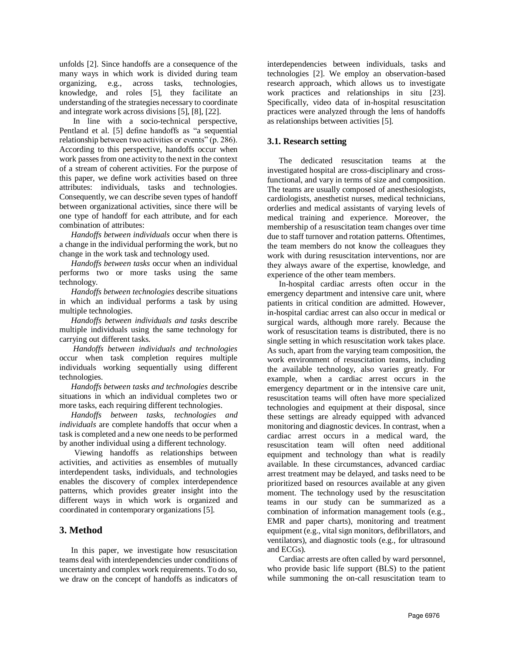unfolds [2]. Since handoffs are a consequence of the many ways in which work is divided during team organizing, e.g., across tasks, technologies, knowledge, and roles [5], they facilitate an understanding of the strategies necessary to coordinate and integrate work across divisions [5], [8], [22].

In line with a socio-technical perspective, Pentland et al. [5] define handoffs as "a sequential relationship between two activities or events" (p. 286). According to this perspective, handoffs occur when work passes from one activity to the next in the context of a stream of coherent activities. For the purpose of this paper, we define work activities based on three attributes: individuals, tasks and technologies. Consequently, we can describe seven types of handoff between organizational activities, since there will be one type of handoff for each attribute, and for each combination of attributes:

*Handoffs between individuals* occur when there is a change in the individual performing the work, but no change in the work task and technology used.

*Handoffs between tasks* occur when an individual performs two or more tasks using the same technology.

*Handoffs between technologies* describe situations in which an individual performs a task by using multiple technologies.

*Handoffs between individuals and tasks* describe multiple individuals using the same technology for carrying out different tasks.

*Handoffs between individuals and technologies*  occur when task completion requires multiple individuals working sequentially using different technologies.

*Handoffs between tasks and technologies* describe situations in which an individual completes two or more tasks, each requiring different technologies.

*Handoffs between tasks, technologies and individuals* are complete handoffs that occur when a task is completed and a new one needs to be performed by another individual using a different technology.

Viewing handoffs as relationships between activities, and activities as ensembles of mutually interdependent tasks, individuals, and technologies enables the discovery of complex interdependence patterns, which provides greater insight into the different ways in which work is organized and coordinated in contemporary organizations [5].

## **3. Method**

In this paper, we investigate how resuscitation teams deal with interdependencies under conditions of uncertainty and complex work requirements. To do so, we draw on the concept of handoffs as indicators of

interdependencies between individuals, tasks and technologies [2]. We employ an observation-based research approach, which allows us to investigate work practices and relationships in situ [23]. Specifically, video data of in-hospital resuscitation practices were analyzed through the lens of handoffs as relationships between activities [5].

### **3.1. Research setting**

The dedicated resuscitation teams at the investigated hospital are cross-disciplinary and crossfunctional, and vary in terms of size and composition. The teams are usually composed of anesthesiologists, cardiologists, anesthetist nurses, medical technicians, orderlies and medical assistants of varying levels of medical training and experience. Moreover, the membership of a resuscitation team changes over time due to staff turnover and rotation patterns. Oftentimes, the team members do not know the colleagues they work with during resuscitation interventions, nor are they always aware of the expertise, knowledge, and experience of the other team members.

In-hospital cardiac arrests often occur in the emergency department and intensive care unit, where patients in critical condition are admitted. However, in-hospital cardiac arrest can also occur in medical or surgical wards, although more rarely. Because the work of resuscitation teams is distributed, there is no single setting in which resuscitation work takes place. As such, apart from the varying team composition, the work environment of resuscitation teams, including the available technology, also varies greatly. For example, when a cardiac arrest occurs in the emergency department or in the intensive care unit, resuscitation teams will often have more specialized technologies and equipment at their disposal, since these settings are already equipped with advanced monitoring and diagnostic devices. In contrast, when a cardiac arrest occurs in a medical ward, the resuscitation team will often need additional equipment and technology than what is readily available. In these circumstances, advanced cardiac arrest treatment may be delayed, and tasks need to be prioritized based on resources available at any given moment. The technology used by the resuscitation teams in our study can be summarized as a combination of information management tools (e.g., EMR and paper charts), monitoring and treatment equipment (e.g., vital sign monitors, defibrillators, and ventilators), and diagnostic tools (e.g., for ultrasound and ECGs).

Cardiac arrests are often called by ward personnel, who provide basic life support (BLS) to the patient while summoning the on-call resuscitation team to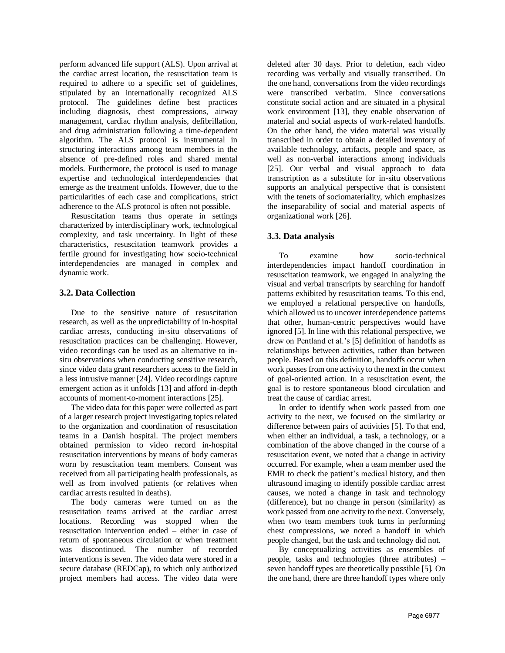perform advanced life support (ALS). Upon arrival at the cardiac arrest location, the resuscitation team is required to adhere to a specific set of guidelines, stipulated by an internationally recognized ALS protocol. The guidelines define best practices including diagnosis, chest compressions, airway management, cardiac rhythm analysis, defibrillation, and drug administration following a time-dependent algorithm. The ALS protocol is instrumental in structuring interactions among team members in the absence of pre-defined roles and shared mental models. Furthermore, the protocol is used to manage expertise and technological interdependencies that emerge as the treatment unfolds. However, due to the particularities of each case and complications, strict adherence to the ALS protocol is often not possible.

Resuscitation teams thus operate in settings characterized by interdisciplinary work, technological complexity, and task uncertainty. In light of these characteristics, resuscitation teamwork provides a fertile ground for investigating how socio-technical interdependencies are managed in complex and dynamic work.

## **3.2. Data Collection**

Due to the sensitive nature of resuscitation research, as well as the unpredictability of in-hospital cardiac arrests, conducting in-situ observations of resuscitation practices can be challenging. However, video recordings can be used as an alternative to insitu observations when conducting sensitive research, since video data grant researchers access to the field in a less intrusive manner [24]. Video recordings capture emergent action as it unfolds [13] and afford in-depth accounts of moment-to-moment interactions [25].

The video data for this paper were collected as part of a larger research project investigating topics related to the organization and coordination of resuscitation teams in a Danish hospital. The project members obtained permission to video record in-hospital resuscitation interventions by means of body cameras worn by resuscitation team members. Consent was received from all participating health professionals, as well as from involved patients (or relatives when cardiac arrests resulted in deaths).

The body cameras were turned on as the resuscitation teams arrived at the cardiac arrest locations. Recording was stopped when the resuscitation intervention ended – either in case of return of spontaneous circulation or when treatment was discontinued. The number of recorded interventions is seven. The video data were stored in a secure database (REDCap), to which only authorized project members had access. The video data were

deleted after 30 days. Prior to deletion, each video recording was verbally and visually transcribed. On the one hand, conversations from the video recordings were transcribed verbatim. Since conversations constitute social action and are situated in a physical work environment [13], they enable observation of material and social aspects of work-related handoffs. On the other hand, the video material was visually transcribed in order to obtain a detailed inventory of available technology, artifacts, people and space, as well as non-verbal interactions among individuals [25]. Our verbal and visual approach to data transcription as a substitute for in-situ observations supports an analytical perspective that is consistent with the tenets of sociomateriality, which emphasizes the inseparability of social and material aspects of organizational work [26].

## **3.3. Data analysis**

To examine how socio-technical interdependencies impact handoff coordination in resuscitation teamwork, we engaged in analyzing the visual and verbal transcripts by searching for handoff patterns exhibited by resuscitation teams. To this end, we employed a relational perspective on handoffs, which allowed us to uncover interdependence patterns that other, human-centric perspectives would have ignored [5]. In line with this relational perspective, we drew on Pentland et al.'s [5] definition of handoffs as relationships between activities, rather than between people. Based on this definition, handoffs occur when work passes from one activity to the next in the context of goal-oriented action. In a resuscitation event, the goal is to restore spontaneous blood circulation and treat the cause of cardiac arrest.

In order to identify when work passed from one activity to the next, we focused on the similarity or difference between pairs of activities [5]. To that end, when either an individual, a task, a technology, or a combination of the above changed in the course of a resuscitation event, we noted that a change in activity occurred. For example, when a team member used the EMR to check the patient's medical history, and then ultrasound imaging to identify possible cardiac arrest causes, we noted a change in task and technology (difference), but no change in person (similarity) as work passed from one activity to the next. Conversely, when two team members took turns in performing chest compressions, we noted a handoff in which people changed, but the task and technology did not.

By conceptualizing activities as ensembles of people, tasks and technologies (three attributes) – seven handoff types are theoretically possible [5]. On the one hand, there are three handoff types where only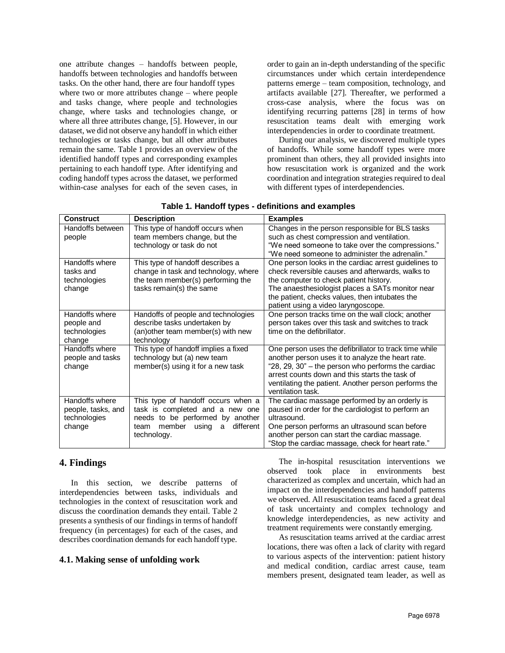one attribute changes – handoffs between people, handoffs between technologies and handoffs between tasks. On the other hand, there are four handoff types where two or more attributes change – where people and tasks change, where people and technologies change, where tasks and technologies change, or where all three attributes change, [5]. However, in our dataset, we did not observe any handoff in which either technologies or tasks change, but all other attributes remain the same. Table 1 provides an overview of the identified handoff types and corresponding examples pertaining to each handoff type. After identifying and coding handoff types across the dataset, we performed within-case analyses for each of the seven cases, in order to gain an in-depth understanding of the specific circumstances under which certain interdependence patterns emerge – team composition, technology, and artifacts available [27]. Thereafter, we performed a cross-case analysis, where the focus was on identifying recurring patterns [28] in terms of how resuscitation teams dealt with emerging work interdependencies in order to coordinate treatment.

During our analysis, we discovered multiple types of handoffs. While some handoff types were more prominent than others, they all provided insights into how resuscitation work is organized and the work coordination and integration strategies required to deal with different types of interdependencies.

| <b>Construct</b>                                               | <b>Description</b>                                                                                                                                                    | <b>Examples</b>                                                                                                                                                                                                                                                                                 |
|----------------------------------------------------------------|-----------------------------------------------------------------------------------------------------------------------------------------------------------------------|-------------------------------------------------------------------------------------------------------------------------------------------------------------------------------------------------------------------------------------------------------------------------------------------------|
| Handoffs between<br>people                                     | This type of handoff occurs when<br>team members change, but the<br>technology or task do not                                                                         | Changes in the person responsible for BLS tasks<br>such as chest compression and ventilation.<br>"We need someone to take over the compressions."<br>"We need someone to administer the adrenalin."                                                                                             |
| Handoffs where<br>tasks and<br>technologies<br>change          | This type of handoff describes a<br>change in task and technology, where<br>the team member(s) performing the<br>tasks remain(s) the same                             | One person looks in the cardiac arrest guidelines to<br>check reversible causes and afterwards, walks to<br>the computer to check patient history.<br>The anaesthesiologist places a SATs monitor near<br>the patient, checks values, then intubates the<br>patient using a video laryngoscope. |
| Handoffs where<br>people and<br>technologies<br>change         | Handoffs of people and technologies<br>describe tasks undertaken by<br>(an) other team member(s) with new<br>technology                                               | One person tracks time on the wall clock; another<br>person takes over this task and switches to track<br>time on the defibrillator.                                                                                                                                                            |
| Handoffs where<br>people and tasks<br>change                   | This type of handoff implies a fixed<br>technology but (a) new team<br>member(s) using it for a new task                                                              | One person uses the defibrillator to track time while<br>another person uses it to analyze the heart rate.<br>"28, 29, 30" – the person who performs the cardiac<br>arrest counts down and this starts the task of<br>ventilating the patient. Another person performs the<br>ventilation task. |
| Handoffs where<br>people, tasks, and<br>technologies<br>change | This type of handoff occurs when a<br>task is completed and a new one<br>needs to be performed by another<br>member<br>using<br>different<br>team<br>a<br>technology. | The cardiac massage performed by an orderly is<br>paused in order for the cardiologist to perform an<br>ultrasound.<br>One person performs an ultrasound scan before<br>another person can start the cardiac massage.<br>"Stop the cardiac massage, check for heart rate."                      |

| Table 1. Handoff types - definitions and examples |
|---------------------------------------------------|
|---------------------------------------------------|

## **4. Findings**

In this section, we describe patterns of interdependencies between tasks, individuals and technologies in the context of resuscitation work and discuss the coordination demands they entail. Table 2 presents a synthesis of our findings in terms of handoff frequency (in percentages) for each of the cases, and describes coordination demands for each handoff type.

### **4.1. Making sense of unfolding work**

The in-hospital resuscitation interventions we observed took place in environments best characterized as complex and uncertain, which had an impact on the interdependencies and handoff patterns we observed. All resuscitation teams faced a great deal of task uncertainty and complex technology and knowledge interdependencies, as new activity and treatment requirements were constantly emerging.

As resuscitation teams arrived at the cardiac arrest locations, there was often a lack of clarity with regard to various aspects of the intervention: patient history and medical condition, cardiac arrest cause, team members present, designated team leader, as well as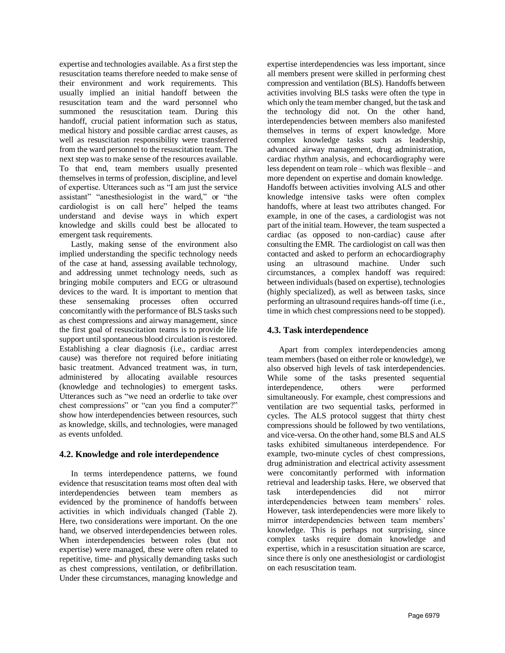expertise and technologies available. As a first step the resuscitation teams therefore needed to make sense of their environment and work requirements. This usually implied an initial handoff between the resuscitation team and the ward personnel who summoned the resuscitation team. During this handoff, crucial patient information such as status, medical history and possible cardiac arrest causes, as well as resuscitation responsibility were transferred from the ward personnel to the resuscitation team. The next step was to make sense of the resources available. To that end, team members usually presented themselves in terms of profession, discipline, and level of expertise. Utterances such as "I am just the service assistant" "anesthesiologist in the ward," or "the cardiologist is on call here" helped the teams understand and devise ways in which expert knowledge and skills could best be allocated to emergent task requirements.

Lastly, making sense of the environment also implied understanding the specific technology needs of the case at hand, assessing available technology, and addressing unmet technology needs, such as bringing mobile computers and ECG or ultrasound devices to the ward. It is important to mention that these sensemaking processes often occurred concomitantly with the performance of BLS tasks such as chest compressions and airway management, since the first goal of resuscitation teams is to provide life support until spontaneous blood circulation is restored. Establishing a clear diagnosis (i.e., cardiac arrest cause) was therefore not required before initiating basic treatment. Advanced treatment was, in turn, administered by allocating available resources (knowledge and technologies) to emergent tasks. Utterances such as "we need an orderlie to take over chest compressions" or "can you find a computer?" show how interdependencies between resources, such as knowledge, skills, and technologies, were managed as events unfolded.

## **4.2. Knowledge and role interdependence**

In terms interdependence patterns, we found evidence that resuscitation teams most often deal with interdependencies between team members as evidenced by the prominence of handoffs between activities in which individuals changed (Table 2). Here, two considerations were important. On the one hand, we observed interdependencies between roles. When interdependencies between roles (but not expertise) were managed, these were often related to repetitive, time- and physically demanding tasks such as chest compressions, ventilation, or defibrillation. Under these circumstances, managing knowledge and expertise interdependencies was less important, since all members present were skilled in performing chest compression and ventilation (BLS). Handoffs between activities involving BLS tasks were often the type in which only the team member changed, but the task and the technology did not. On the other hand, interdependencies between members also manifested themselves in terms of expert knowledge. More complex knowledge tasks such as leadership, advanced airway management, drug administration, cardiac rhythm analysis, and echocardiography were less dependent on team role – which was flexible – and more dependent on expertise and domain knowledge. Handoffs between activities involving ALS and other knowledge intensive tasks were often complex handoffs, where at least two attributes changed. For example, in one of the cases, a cardiologist was not part of the initial team. However, the team suspected a cardiac (as opposed to non-cardiac) cause after consulting the EMR. The cardiologist on call was then contacted and asked to perform an echocardiography using an ultrasound machine. Under such circumstances, a complex handoff was required: between individuals (based on expertise), technologies (highly specialized), as well as between tasks, since performing an ultrasound requires hands-off time (i.e., time in which chest compressions need to be stopped).

## **4.3. Task interdependence**

Apart from complex interdependencies among team members (based on either role or knowledge), we also observed high levels of task interdependencies. While some of the tasks presented sequential interdependence, others were performed simultaneously. For example, chest compressions and ventilation are two sequential tasks, performed in cycles. The ALS protocol suggest that thirty chest compressions should be followed by two ventilations, and vice-versa. On the other hand, some BLS and ALS tasks exhibited simultaneous interdependence. For example, two-minute cycles of chest compressions, drug administration and electrical activity assessment were concomitantly performed with information retrieval and leadership tasks. Here, we observed that task interdependencies did not mirror interdependencies between team members' roles. However, task interdependencies were more likely to mirror interdependencies between team members' knowledge. This is perhaps not surprising, since complex tasks require domain knowledge and expertise, which in a resuscitation situation are scarce, since there is only one anesthesiologist or cardiologist on each resuscitation team.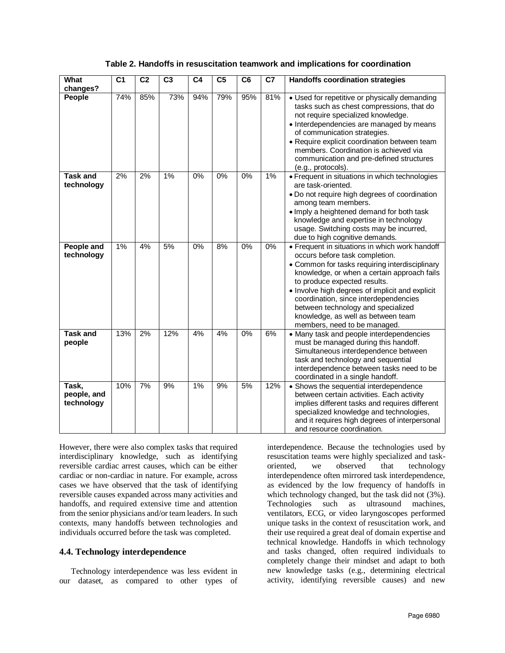| What                               | C <sub>1</sub> | C <sub>2</sub>   | C <sub>3</sub> | C <sub>4</sub> | C <sub>5</sub> | C <sub>6</sub> | $\overline{C7}$ | <b>Handoffs coordination strategies</b>                                                                                                                                                                                                                                                                                                                                                                                   |
|------------------------------------|----------------|------------------|----------------|----------------|----------------|----------------|-----------------|---------------------------------------------------------------------------------------------------------------------------------------------------------------------------------------------------------------------------------------------------------------------------------------------------------------------------------------------------------------------------------------------------------------------------|
| changes?                           |                |                  |                |                |                |                |                 |                                                                                                                                                                                                                                                                                                                                                                                                                           |
| People                             | 74%            | 85%              | 73%            | 94%            | 79%            | 95%            | 81%             | • Used for repetitive or physically demanding<br>tasks such as chest compressions, that do<br>not require specialized knowledge.<br>• Interdependencies are managed by means<br>of communication strategies.<br>• Require explicit coordination between team<br>members. Coordination is achieved via<br>communication and pre-defined structures<br>(e.g., protocols).                                                   |
| <b>Task and</b><br>technology      | 2%             | 2%               | 1%             | $0\%$          | $0\%$          | 0%             | 1%              | • Frequent in situations in which technologies<br>are task-oriented.<br>. Do not require high degrees of coordination<br>among team members.<br>. Imply a heightened demand for both task<br>knowledge and expertise in technology<br>usage. Switching costs may be incurred,<br>due to high cognitive demands.                                                                                                           |
| <b>People and</b><br>technology    | 1%             | 4%               | 5%             | 0%             | 8%             | $0\%$          | 0%              | • Frequent in situations in which work handoff<br>occurs before task completion.<br>• Common for tasks requiring interdisciplinary<br>knowledge, or when a certain approach fails<br>to produce expected results.<br>• Involve high degrees of implicit and explicit<br>coordination, since interdependencies<br>between technology and specialized<br>knowledge, as well as between team<br>members, need to be managed. |
| <b>Task and</b><br>people          | 13%            | $\overline{2\%}$ | 12%            | 4%             | 4%             | $0\%$          | 6%              | • Many task and people interdependencies<br>must be managed during this handoff.<br>Simultaneous interdependence between<br>task and technology and sequential<br>interdependence between tasks need to be<br>coordinated in a single handoff.                                                                                                                                                                            |
| Task,<br>people, and<br>technology | 10%            | 7%               | 9%             | $1\%$          | 9%             | 5%             | 12%             | • Shows the sequential interdependence<br>between certain activities. Each activity<br>implies different tasks and requires different<br>specialized knowledge and technologies,<br>and it requires high degrees of interpersonal<br>and resource coordination.                                                                                                                                                           |

### **Table 2. Handoffs in resuscitation teamwork and implications for coordination**

However, there were also complex tasks that required interdisciplinary knowledge, such as identifying reversible cardiac arrest causes, which can be either cardiac or non-cardiac in nature. For example, across cases we have observed that the task of identifying reversible causes expanded across many activities and handoffs, and required extensive time and attention from the senior physicians and/or team leaders. In such contexts, many handoffs between technologies and individuals occurred before the task was completed.

#### **4.4. Technology interdependence**

Technology interdependence was less evident in our dataset, as compared to other types of interdependence. Because the technologies used by resuscitation teams were highly specialized and taskoriented, we observed that technology interdependence often mirrored task interdependence, as evidenced by the low frequency of handoffs in which technology changed, but the task did not (3%). Technologies such as ultrasound machines, ventilators, ECG, or video laryngoscopes performed unique tasks in the context of resuscitation work, and their use required a great deal of domain expertise and technical knowledge. Handoffs in which technology and tasks changed, often required individuals to completely change their mindset and adapt to both new knowledge tasks (e.g., determining electrical activity, identifying reversible causes) and new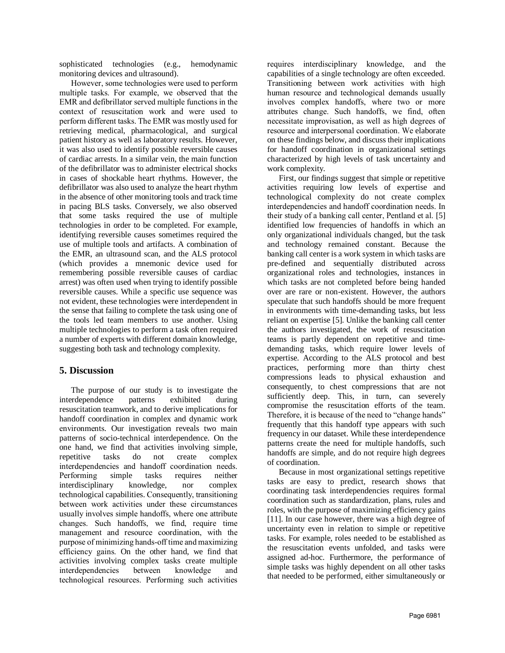sophisticated technologies (e.g., hemodynamic monitoring devices and ultrasound).

However, some technologies were used to perform multiple tasks. For example, we observed that the EMR and defibrillator served multiple functions in the context of resuscitation work and were used to perform different tasks. The EMR was mostly used for retrieving medical, pharmacological, and surgical patient history as well as laboratory results. However, it was also used to identify possible reversible causes of cardiac arrests. In a similar vein, the main function of the defibrillator was to administer electrical shocks in cases of shockable heart rhythms. However, the defibrillator was also used to analyze the heart rhythm in the absence of other monitoring tools and track time in pacing BLS tasks. Conversely, we also observed that some tasks required the use of multiple technologies in order to be completed. For example, identifying reversible causes sometimes required the use of multiple tools and artifacts. A combination of the EMR, an ultrasound scan, and the ALS protocol (which provides a mnemonic device used for remembering possible reversible causes of cardiac arrest) was often used when trying to identify possible reversible causes. While a specific use sequence was not evident, these technologies were interdependent in the sense that failing to complete the task using one of the tools led team members to use another. Using multiple technologies to perform a task often required a number of experts with different domain knowledge, suggesting both task and technology complexity.

## **5. Discussion**

The purpose of our study is to investigate the interdependence patterns exhibited during resuscitation teamwork, and to derive implications for handoff coordination in complex and dynamic work environments. Our investigation reveals two main patterns of socio-technical interdependence. On the one hand, we find that activities involving simple, repetitive tasks do not create complex interdependencies and handoff coordination needs. Performing simple tasks requires neither interdisciplinary knowledge, nor complex technological capabilities. Consequently, transitioning between work activities under these circumstances usually involves simple handoffs, where one attribute changes. Such handoffs, we find, require time management and resource coordination, with the purpose of minimizing hands-off time and maximizing efficiency gains. On the other hand, we find that activities involving complex tasks create multiple interdependencies between knowledge and technological resources. Performing such activities

requires interdisciplinary knowledge, and the capabilities of a single technology are often exceeded. Transitioning between work activities with high human resource and technological demands usually involves complex handoffs, where two or more attributes change. Such handoffs, we find, often necessitate improvisation, as well as high degrees of resource and interpersonal coordination. We elaborate on these findings below, and discuss their implications for handoff coordination in organizational settings characterized by high levels of task uncertainty and work complexity.

First, our findings suggest that simple or repetitive activities requiring low levels of expertise and technological complexity do not create complex interdependencies and handoff coordination needs. In their study of a banking call center, Pentland et al. [5] identified low frequencies of handoffs in which an only organizational individuals changed, but the task and technology remained constant. Because the banking call center is a work system in which tasks are pre-defined and sequentially distributed across organizational roles and technologies, instances in which tasks are not completed before being handed over are rare or non-existent. However, the authors speculate that such handoffs should be more frequent in environments with time-demanding tasks, but less reliant on expertise [5]. Unlike the banking call center the authors investigated, the work of resuscitation teams is partly dependent on repetitive and timedemanding tasks, which require lower levels of expertise. According to the ALS protocol and best practices, performing more than thirty chest compressions leads to physical exhaustion and consequently, to chest compressions that are not sufficiently deep. This, in turn, can severely compromise the resuscitation efforts of the team. Therefore, it is because of the need to "change hands" frequently that this handoff type appears with such frequency in our dataset. While these interdependence patterns create the need for multiple handoffs, such handoffs are simple, and do not require high degrees of coordination.

Because in most organizational settings repetitive tasks are easy to predict, research shows that coordinating task interdependencies requires formal coordination such as standardization, plans, rules and roles, with the purpose of maximizing efficiency gains [11]. In our case however, there was a high degree of uncertainty even in relation to simple or repetitive tasks. For example, roles needed to be established as the resuscitation events unfolded, and tasks were assigned ad-hoc. Furthermore, the performance of simple tasks was highly dependent on all other tasks that needed to be performed, either simultaneously or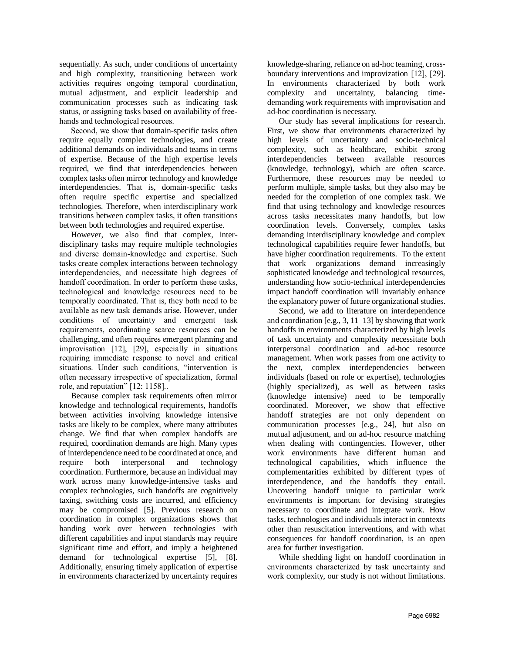sequentially. As such, under conditions of uncertainty and high complexity, transitioning between work activities requires ongoing temporal coordination, mutual adjustment, and explicit leadership and communication processes such as indicating task status, or assigning tasks based on availability of freehands and technological resources.

Second, we show that domain-specific tasks often require equally complex technologies, and create additional demands on individuals and teams in terms of expertise. Because of the high expertise levels required, we find that interdependencies between complex tasks often mirror technology and knowledge interdependencies. That is, domain-specific tasks often require specific expertise and specialized technologies. Therefore, when interdisciplinary work transitions between complex tasks, it often transitions between both technologies and required expertise.

However, we also find that complex, interdisciplinary tasks may require multiple technologies and diverse domain-knowledge and expertise. Such tasks create complex interactions between technology interdependencies, and necessitate high degrees of handoff coordination. In order to perform these tasks, technological and knowledge resources need to be temporally coordinated. That is, they both need to be available as new task demands arise. However, under conditions of uncertainty and emergent task requirements, coordinating scarce resources can be challenging, and often requires emergent planning and improvisation [12], [29], especially in situations requiring immediate response to novel and critical situations. Under such conditions, "intervention is often necessary irrespective of specialization, formal role, and reputation" [12: 1158]..

Because complex task requirements often mirror knowledge and technological requirements, handoffs between activities involving knowledge intensive tasks are likely to be complex, where many attributes change. We find that when complex handoffs are required, coordination demands are high. Many types of interdependence need to be coordinated at once, and require both interpersonal and technology coordination. Furthermore, because an individual may work across many knowledge-intensive tasks and complex technologies, such handoffs are cognitively taxing, switching costs are incurred, and efficiency may be compromised [5]. Previous research on coordination in complex organizations shows that handing work over between technologies with different capabilities and input standards may require significant time and effort, and imply a heightened demand for technological expertise [5], [8]. Additionally, ensuring timely application of expertise in environments characterized by uncertainty requires

knowledge-sharing, reliance on ad-hoc teaming, crossboundary interventions and improvization [12], [29]. In environments characterized by both work complexity and uncertainty, balancing timedemanding work requirements with improvisation and ad-hoc coordination is necessary.

Our study has several implications for research. First, we show that environments characterized by high levels of uncertainty and socio-technical complexity, such as healthcare, exhibit strong interdependencies between available resources (knowledge, technology), which are often scarce. Furthermore, these resources may be needed to perform multiple, simple tasks, but they also may be needed for the completion of one complex task. We find that using technology and knowledge resources across tasks necessitates many handoffs, but low coordination levels. Conversely, complex tasks demanding interdisciplinary knowledge and complex technological capabilities require fewer handoffs, but have higher coordination requirements. To the extent that work organizations demand increasingly sophisticated knowledge and technological resources, understanding how socio-technical interdependencies impact handoff coordination will invariably enhance the explanatory power of future organizational studies.

Second, we add to literature on interdependence and coordination [e.g., 3, 11–13] by showing that work handoffs in environments characterized by high levels of task uncertainty and complexity necessitate both interpersonal coordination and ad-hoc resource management. When work passes from one activity to the next, complex interdependencies between individuals (based on role or expertise), technologies (highly specialized), as well as between tasks (knowledge intensive) need to be temporally coordinated. Moreover, we show that effective handoff strategies are not only dependent on communication processes [e.g., 24], but also on mutual adjustment, and on ad-hoc resource matching when dealing with contingencies. However, other work environments have different human and technological capabilities, which influence the complementarities exhibited by different types of interdependence, and the handoffs they entail. Uncovering handoff unique to particular work environments is important for devising strategies necessary to coordinate and integrate work. How tasks, technologies and individuals interact in contexts other than resuscitation interventions, and with what consequences for handoff coordination, is an open area for further investigation.

While shedding light on handoff coordination in environments characterized by task uncertainty and work complexity, our study is not without limitations.